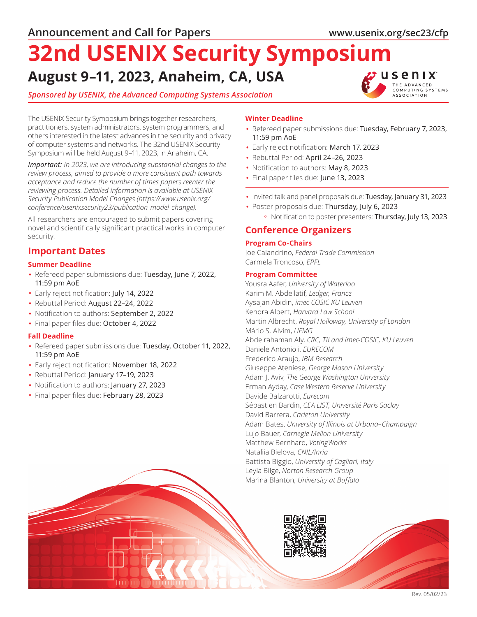# **August 9–11, 2023, Anaheim, CA, USA 32nd USENIX Security Symposium**

## *Sponsored by USENIX, the Advanced Computing Systems Association*



The USENIX Security Symposium brings together researchers, practitioners, system administrators, system programmers, and others interested in the latest advances in the security and privacy of computer systems and networks. The 32nd USENIX Security Symposium will be held August 9–11, 2023, in Anaheim, CA.

*Important: In 2023, we are introducing substantial changes to the review process, aimed to provide a more consistent path towards acceptance and reduce the number of times papers reenter the reviewing process. Detailed information is available at USENIX Security Publication Model Changes (https://www.usenix.org/ conference/usenixsecurity23/publication-model-change).*

All researchers are encouraged to submit papers covering novel and scientifically significant practical works in computer security.

# **Important Dates**

## **Summer Deadline**

- Refereed paper submissions due: Tuesday, June 7, 2022, 11:59 pm AoE
- Early reject notification: July 14, 2022
- Rebuttal Period: August 22–24, 2022
- Notification to authors: September 2, 2022
- Final paper files due: October 4, 2022

## **Fall Deadline**

- Refereed paper submissions due: Tuesday, October 11, 2022, 11:59 pm AoE
- Early reject notification: November 18, 2022
- Rebuttal Period: January 17–19, 2023
- Notification to authors: January 27, 2023
- Final paper files due: February 28, 2023

## **Winter Deadline**

- Refereed paper submissions due: Tuesday, February 7, 2023, 11:59 pm AoE
- Early reject notification: March 17, 2023
- Rebuttal Period: April 24–26, 2023
- Notification to authors: May 8, 2023
- Final paper files due: June 13, 2023
- Invited talk and panel proposals due: Tuesday, January 31, 2023
- Poster proposals due: Thursday, July 6, 2023 ° Notification to poster presenters: Thursday, July 13, 2023

## **Conference Organizers**

#### **Program Co-Chairs**

Joe Calandrino, *Federal Trade Commission* Carmela Troncoso, *EPFL*

### **Program Committee**

Yousra Aafer, *University of Waterloo* Karim M. Abdellatif, *Ledger, France* Aysajan Abidin, *imec-COSIC KU Leuven* Kendra Albert, *Harvard Law School* Martin Albrecht, *Royal Holloway, University of London* Mário S. Alvim, *UFMG* Abdelrahaman Aly, *CRC, TII and imec-COSIC, KU Leuven* Daniele Antonioli, *EURECOM* Frederico Araujo, *IBM Research* Giuseppe Ateniese, *George Mason University* Adam J. Aviv, *The George Washington University* Erman Ayday, *Case Western Reserve University* Davide Balzarotti, *Eurecom* Sébastien Bardin, *CEA LIST, Université Paris Saclay* David Barrera, *Carleton University* Adam Bates, *University of Illinois at Urbana–Champaign* Lujo Bauer, *Carnegie Mellon University* Matthew Bernhard, *VotingWorks* Nataliia Bielova, *CNIL/Inria* Battista Biggio, *University of Cagliari, Italy* Leyla Bilge, *Norton Research Group* Marina Blanton, *University at Buffalo*

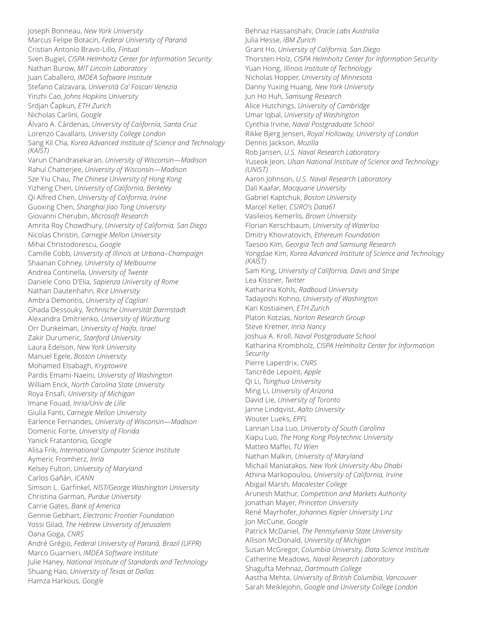Joseph Bonneau, *New York University* Marcus Felipe Botacin, *Federal University of Paraná* Cristian Antonio Bravo-Lillo, *Fintual* Sven Bugiel, *CISPA Helmholtz Center for Information Security* Nathan Burow, *MIT Lincoln Laboratory* Juan Caballero, *IMDEA Software Institute* Stefano Calzavara, *Università Ca' Foscari Venezia* Yinzhi Cao, *Johns Hopkins University* Srdjan Čapkun, *ETH Zurich* Nicholas Carlini, *Google* Álvaro A. Cárdenas, *University of California, Santa Cruz* Lorenzo Cavallaro, *University College London* Sang Kil Cha, *Korea Advanced Institute of Science and Technology (KAIST)* Varun Chandrasekaran, *University of Wisconsin—Madison* Rahul Chatterjee, *University of Wisconsin—Madison* Sze Yiu Chau, *The Chinese University of Hong Kong* Yizheng Chen, *University of California, Berkeley* Qi Alfred Chen, *University of California, Irvine* Guoxing Chen, *Shanghai Jiao Tong University* Giovanni Cherubin, *Microsoft Research* Amrita Roy Chowdhury, *University of California, San Diego* Nicolas Christin, *Carnegie Mellon University* Mihai Christodorescu, *Google* Camille Cobb, *University of Illinois at Urbana–Champaign* Shaanan Cohney, *University of Melbourne* Andrea Continella, *University of Twente* Daniele Cono D'Elia, *Sapienza University of Rome* Nathan Dautenhahn, *Rice University* Ambra Demontis, *University of Cagliari* Ghada Dessouky, *Technische Universität Darmstadt* Alexandra Dmitrienko, *University of Würzburg* Orr Dunkelman, *University of Haifa, Israel* Zakir Durumeric, *Stanford University* Laura Edelson, *New York University* Manuel Egele, *Boston University* Mohamed Elsabagh, *Kryptowire* Pardis Emami-Naeini, *University of Washington* William Enck, *North Carolina State University* Roya Ensafi, *University of Michigan* Imane Fouad, *Inria/Univ de Lille* Giulia Fanti, *Carnegie Mellon University* Earlence Fernandes, *University of Wisconsin—Madison* Domenic Forte, *University of Florida* Yanick Fratantonio, *Google* Alisa Frik, *International Computer Science Institute* Aymeric Fromherz, *Inria* Kelsey Fulton, *University of Maryland* Carlos Gañán, *ICANN* Simson L. Garfinkel, *NIST/George Washington University* Christina Garman, *Purdue University* Carrie Gates, *Bank of America* Gennie Gebhart, *Electronic Frontier Foundation* Yossi Gilad, *The Hebrew University of Jerusalem* Oana Goga, *CNRS* André Grégio, *Federal University of Paraná, Brazil (UFPR)* Marco Guarnieri, *IMDEA Software Institute* Julie Haney, *National Institute of Standards and Technology* Shuang Hao, *University of Texas at Dallas* Hamza Harkous, *Google*

Behnaz Hassanshahi, *Oracle Labs Australia* Julia Hesse, *IBM Zurich* Grant Ho, *University of California, San Diego* Thorsten Holz, *CISPA Helmholtz Center for Information Security* Yuan Hong, *Illinois Institute of Technology* Nicholas Hopper, *University of Minnesota* Danny Yuxing Huang, *New York University* Jun Ho Huh, *Samsung Research* Alice Hutchings, *University of Cambridge* Umar Iqbal, *University of Washington* Cynthia Irvine, *Naval Postgraduate School* Rikke Bjerg Jensen, *Royal Holloway, University of London* Dennis Jackson, *Mozilla* Rob Jansen, *U.S. Naval Research Laboratory* Yuseok Jeon, *Ulsan National Institute of Science and Technology (UNIST)* Aaron Johnson, *U.S. Naval Research Laboratory* Dali Kaafar, *Macquarie University* Gabriel Kaptchuk, *Boston University* Marcel Keller, *CSIRO's Data61* Vasileios Kemerlis, *Brown University* Florian Kerschbaum, *University of Waterloo* Dmitry Khovratovich, *Ethereum Foundation* Taesoo Kim, *Georgia Tech and Samsung Research* Yongdae Kim, *Korea Advanced Institute of Science and Technology (KAIST)* Sam King, *University of California, Davis and Stripe* Lea Kissner, *Twitter* Katharina Kohls, *Radboud University* Tadayoshi Kohno, *University of Washington* Kari Kostiainen, *ETH Zurich* Platon Kotzias, *Norton Research Group* Steve Kremer, *Inria Nancy* Joshua A. Kroll, *Naval Postgraduate School* Katharina Krombholz, *CISPA Helmholtz Center for Information Security* Pierre Laperdrix, *CNRS* Tancrède Lepoint, *Apple* Qi Li, *Tsinghua University* Ming Li, *University of Arizona* David Lie, *University of Toronto* Janne Lindqvist, *Aalto University* Wouter Lueks, *EPFL* Lannan Lisa Luo, *University of South Carolina* Xiapu Luo, *The Hong Kong Polytechnic University* Matteo Maffei, *TU Wien* Nathan Malkin, *University of Maryland* Michail Maniatakos, *New York University Abu Dhabi* Athina Markopoulou, *University of California, Irvine* Abigail Marsh, *Macalester College* Arunesh Mathur, *Competition and Markets Authority* Jonathan Mayer, *Princeton University* René Mayrhofer, *Johannes Kepler University Linz* Jon McCune, *Google* Patrick McDaniel, *The Pennsylvania State University* Allison McDonald, *University of Michigan* Susan McGregor, *Columbia University, Data Science Institute* Catherine Meadows, *Naval Research Laboratory* Shagufta Mehnaz, *Dartmouth College* Aastha Mehta, *University of British Columbia, Vancouver* Sarah Meiklejohn, *Google and University College London*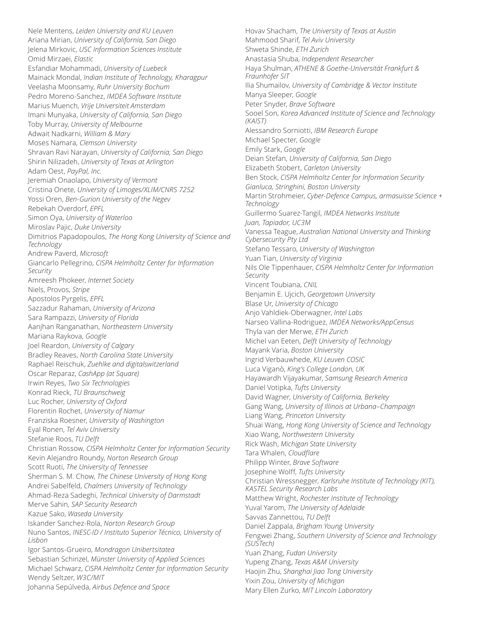Nele Mentens, *Leiden University and KU Leuven* Ariana Mirian, *University of California, San Diego* Jelena Mirkovic, *USC Information Sciences Institute* Omid Mirzaei, *Elastic* Esfandiar Mohammadi, *University of Luebeck* Mainack Mondal, *Indian Institute of Technology, Kharagpur* Veelasha Moonsamy, *Ruhr University Bochum* Pedro Moreno-Sanchez, *IMDEA Software Institute* Marius Muench, *Vrije Universiteit Amsterdam* Imani Munyaka, *University of California, San Diego* Toby Murray, *University of Melbourne* Adwait Nadkarni, *William & Mary* Moses Namara, *Clemson University* Shravan Ravi Narayan, *University of California, San Diego* Shirin Nilizadeh, *University of Texas at Arlington* Adam Oest, *PayPal, Inc.* Jeremiah Onaolapo, *University of Vermont* Cristina Onete, *University of Limoges/XLIM/CNRS 7252* Yossi Oren, *Ben-Gurion University of the Negev* Rebekah Overdorf, *EPFL* Simon Oya, *University of Waterloo* Miroslav Pajic, *Duke University* Dimitrios Papadopoulos, *The Hong Kong University of Science and Technology* Andrew Paverd, *Microsoft* Giancarlo Pellegrino, *CISPA Helmholtz Center for Information Security* Amreesh Phokeer, *Internet Society* Niels, Provos, *Stripe* Apostolos Pyrgelis, *EPFL* Sazzadur Rahaman, *University of Arizona* Sara Rampazzi, *University of Florida* Aanjhan Ranganathan, *Northeastern University* Mariana Raykova, *Google* Joel Reardon, *University of Calgary* Bradley Reaves, *North Carolina State University* Raphael Reischuk, *Zuehlke and digitalswitzerland* Oscar Reparaz, *CashApp (at Square)* Irwin Reyes, *Two Six Technologies* Konrad Rieck, *TU Braunschweig* Luc Rocher, *University of Oxford* Florentin Rochet, *University of Namur* Franziska Roesner, *University of Washington* Eyal Ronen, *Tel Aviv University* Stefanie Roos, *TU Delft* Christian Rossow, *CISPA Helmholtz Center for Information Security* Kevin Alejandro Roundy, *Norton Research Group* Scott Ruoti, *The University of Tennessee* Sherman S. M. Chow, *The Chinese University of Hong Kong* Andrei Sabelfeld, *Chalmers University of Technology* Ahmad-Reza Sadeghi, *Technical University of Darmstadt* Merve Sahin, *SAP Security Research* Kazue Sako, *Waseda University* Iskander Sanchez-Rola, *Norton Research Group* Nuno Santos, *INESC-ID / Instituto Superior Técnico, University of Lisbon* Igor Santos-Grueiro, *Mondragon Unibertsitatea* Sebastian Schinzel, *Münster University of Applied Sciences* Michael Schwarz, *CISPA Helmholtz Center for Information Security* Wendy Seltzer, *W3C/MIT* Johanna Sepúlveda, *Airbus Defence and Space*

Hovav Shacham, *The University of Texas at Austin* Mahmood Sharif, *Tel Aviv University* Shweta Shinde, *ETH Zurich* Anastasia Shuba, *Independent Researcher* Haya Shulman, *ATHENE & Goethe-Universität Frankfurt & Fraunhofer SIT* Ilia Shumailov, *University of Cambridge & Vector Institute* Manya Sleeper, *Google* Peter Snyder, *Brave Software* Sooel Son, *Korea Advanced Institute of Science and Technology (KAIST)* Alessandro Sorniotti, *IBM Research Europe* Michael Specter, *Google* Emily Stark, *Google* Deian Stefan, *University of California, San Diego* Elizabeth Stobert, *Carleton University* Ben Stock, *CISPA Helmholtz Center for Information Security Gianluca, Stringhini, Boston University* Martin Strohmeier, *Cyber-Defence Campus, armasuisse Science + Technology* Guillermo Suarez-Tangil, *IMDEA Networks Institute Juan, Tapiador, UC3M* Vanessa Teague, *Australian National University and Thinking Cybersecurity Pty Ltd* Stefano Tessaro, *University of Washington* Yuan Tian, *University of Virginia* Nils Ole Tippenhauer, *CISPA Helmholtz Center for Information Security* Vincent Toubiana, *CNIL* Benjamin E. Ujcich, *Georgetown University* Blase Ur, *University of Chicago* Anjo Vahldiek-Oberwagner, *Intel Labs* Narseo Vallina-Rodriguez, *IMDEA Networks/AppCensus* Thyla van der Merwe, *ETH Zurich* Michel van Eeten, *Delft University of Technology* Mayank Varia, *Boston University* Ingrid Verbauwhede, *KU Leuven COSIC* Luca Viganò, *King's College London, UK* Hayawardh Vijayakumar, *Samsung Research America* Daniel Votipka, *Tufts University* David Wagner, *University of California, Berkeley* Gang Wang, *University of Illinois at Urbana–Champaign* Liang Wang, *Princeton University* Shuai Wang, *Hong Kong University of Science and Technology* Xiao Wang, *Northwestern University* Rick Wash, *Michigan State University* Tara Whalen, *Cloudflare* Philipp Winter, *Brave Software* Josephine Wolff, *Tufts University* Christian Wressnegger, *Karlsruhe Institute of Technology (KIT), KASTEL Security Research Labs* Matthew Wright, *Rochester Institute of Technology* Yuval Yarom, *The University of Adelaide* Savvas Zannettou, *TU Delft* Daniel Zappala, *Brigham Young University* Fengwei Zhang, *Southern University of Science and Technology (SUSTech)* Yuan Zhang, *Fudan University* Yupeng Zhang, *Texas A&M University* Haojin Zhu, *Shanghai Jiao Tong University* Yixin Zou, *University of Michigan* Mary Ellen Zurko, *MIT Lincoln Laboratory*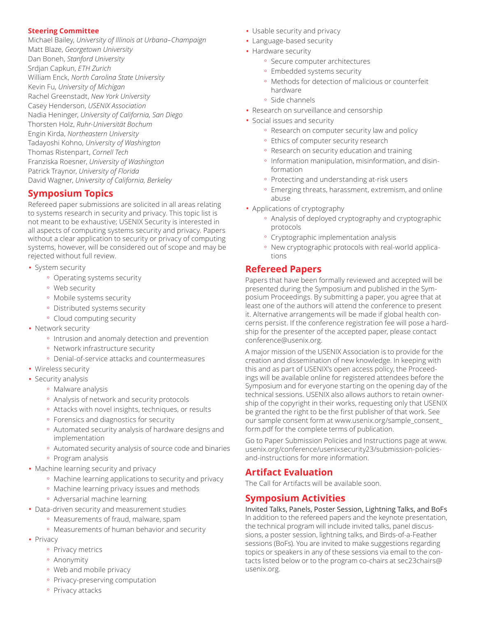#### **Steering Committee**

Michael Bailey, *University of Illinois at Urbana–Champaign* Matt Blaze, *Georgetown University* Dan Boneh, *Stanford University* Srdjan Capkun, *ETH Zurich* William Enck, *North Carolina State University* Kevin Fu, *University of Michigan* Rachel Greenstadt, *New York University* Casey Henderson, *USENIX Association* Nadia Heninger, *University of California, San Diego* Thorsten Holz, *Ruhr-Universität Bochum* Engin Kirda, *Northeastern University* Tadayoshi Kohno, *University of Washington* Thomas Ristenpart, *Cornell Tech* Franziska Roesner, *University of Washington* Patrick Traynor, *University of Florida* David Wagner, *University of California, Berkeley*

# **Symposium Topics**

Refereed paper submissions are solicited in all areas relating to systems research in security and privacy. This topic list is not meant to be exhaustive; USENIX Security is interested in all aspects of computing systems security and privacy. Papers without a clear application to security or privacy of computing systems, however, will be considered out of scope and may be rejected without full review.

- System security
	- ° Operating systems security
	- ° Web security
	- ° Mobile systems security
	- ° Distributed systems security
	- ° Cloud computing security
- Network security
	- ° Intrusion and anomaly detection and prevention
	- ° Network infrastructure security
	- ° Denial-of-service attacks and countermeasures
- Wireless security
- Security analysis
	- ° Malware analysis
	- ° Analysis of network and security protocols
	- ° Attacks with novel insights, techniques, or results
	- ° Forensics and diagnostics for security
	- ° Automated security analysis of hardware designs and implementation
	- ° Automated security analysis of source code and binaries
	- ° Program analysis
- Machine learning security and privacy
	- ° Machine learning applications to security and privacy
	- ° Machine learning privacy issues and methods
	- ° Adversarial machine learning
- Data-driven security and measurement studies
	- ° Measurements of fraud, malware, spam
	- ° Measurements of human behavior and security
- Privacy
	- ° Privacy metrics
	- ° Anonymity
	- Web and mobile privacy
	- ° Privacy-preserving computation
- Usable security and privacy
- Language-based security
- Hardware security
	- ° Secure computer architectures
	- ° Embedded systems security
	- ° Methods for detection of malicious or counterfeit hardware
	- ° Side channels
- Research on surveillance and censorship
- Social issues and security
	- ° Research on computer security law and policy
	- ° Ethics of computer security research
	- ° Research on security education and training
	- ° Information manipulation, misinformation, and disinformation
	- ° Protecting and understanding at-risk users
	- ° Emerging threats, harassment, extremism, and online abuse
- Applications of cryptography
	- ° Analysis of deployed cryptography and cryptographic protocols
	- ° Cryptographic implementation analysis
	- ° New cryptographic protocols with real-world applications

# **Refereed Papers**

Papers that have been formally reviewed and accepted will be presented during the Symposium and published in the Symposium Proceedings. By submitting a paper, you agree that at least one of the authors will attend the conference to present it. Alternative arrangements will be made if global health concerns persist. If the conference registration fee will pose a hardship for the presenter of the accepted paper, please contact conference@usenix.org.

A major mission of the USENIX Association is to provide for the creation and dissemination of new knowledge. In keeping with this and as part of USENIX's open access policy, the Proceedings will be available online for registered attendees before the Symposium and for everyone starting on the opening day of the technical sessions. USENIX also allows authors to retain ownership of the copyright in their works, requesting only that USENIX be granted the right to be the first publisher of that work. See our sample consent form at www.usenix.org/sample\_consent\_ form.pdf for the complete terms of publication.

Go to Paper Submission Policies and Instructions page at www. usenix.org/conference/usenixsecurity23/submission-policiesand-instructions for more information.

# **Artifact Evaluation**

The Call for Artifacts will be available soon.

# **Symposium Activities**

Invited Talks, Panels, Poster Session, Lightning Talks, and BoFs In addition to the refereed papers and the keynote presentation, the technical program will include invited talks, panel discussions, a poster session, lightning talks, and Birds-of-a-Feather sessions (BoFs). You are invited to make suggestions regarding topics or speakers in any of these sessions via email to the contacts listed below or to the program co-chairs at sec23chairs@ usenix.org.

° Privacy attacks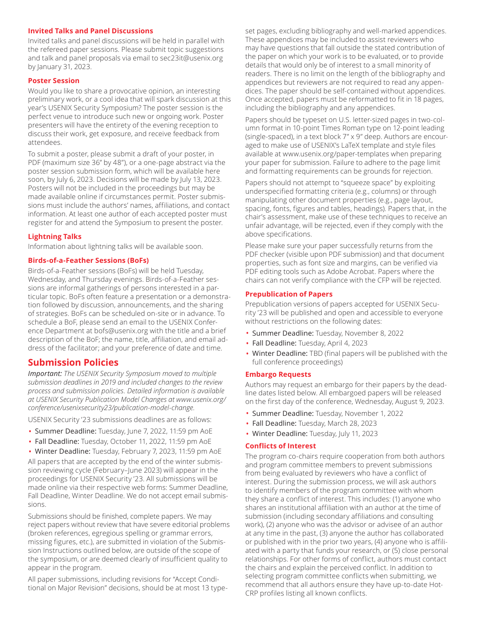#### **Invited Talks and Panel Discussions**

Invited talks and panel discussions will be held in parallel with the refereed paper sessions. Please submit topic suggestions and talk and panel proposals via email to sec23it@usenix.org by January 31, 2023.

#### **Poster Session**

Would you like to share a provocative opinion, an interesting preliminary work, or a cool idea that will spark discussion at this year's USENIX Security Symposium? The poster session is the perfect venue to introduce such new or ongoing work. Poster presenters will have the entirety of the evening reception to discuss their work, get exposure, and receive feedback from attendees.

To submit a poster, please submit a draft of your poster, in PDF (maximum size 36" by 48"), or a one-page abstract via the poster session submission form, which will be available here soon, by July 6, 2023. Decisions will be made by July 13, 2023. Posters will not be included in the proceedings but may be made available online if circumstances permit. Poster submissions must include the authors' names, affiliations, and contact information. At least one author of each accepted poster must register for and attend the Symposium to present the poster.

#### **Lightning Talks**

Information about lightning talks will be available soon.

#### **Birds-of-a-Feather Sessions (BoFs)**

Birds-of-a-Feather sessions (BoFs) will be held Tuesday, Wednesday, and Thursday evenings. Birds-of-a-Feather sessions are informal gatherings of persons interested in a particular topic. BoFs often feature a presentation or a demonstration followed by discussion, announcements, and the sharing of strategies. BoFs can be scheduled on-site or in advance. To schedule a BoF, please send an email to the USENIX Conference Department at bofs@usenix.org with the title and a brief description of the BoF; the name, title, affiliation, and email address of the facilitator; and your preference of date and time.

## **Submission Policies**

*Important: The USENIX Security Symposium moved to multiple submission deadlines in 2019 and included changes to the review process and submission policies. Detailed information is available at USENIX Security Publication Model Changes at www.usenix.org/ conference/usenixsecurity23/publication-model-change.*

USENIX Security '23 submissions deadlines are as follows:

- Summer Deadline: Tuesday, June 7, 2022, 11:59 pm AoE
- Fall Deadline: Tuesday, October 11, 2022, 11:59 pm AoE
- Winter Deadline: Tuesday, February 7, 2023, 11:59 pm AoE

All papers that are accepted by the end of the winter submission reviewing cycle (February–June 2023) will appear in the proceedings for USENIX Security '23. All submissions will be made online via their respective web forms: Summer Deadline, Fall Deadline, Winter Deadline. We do not accept email submissions.

Submissions should be finished, complete papers. We may reject papers without review that have severe editorial problems (broken references, egregious spelling or grammar errors, missing figures, etc.), are submitted in violation of the Submission Instructions outlined below, are outside of the scope of the symposium, or are deemed clearly of insufficient quality to appear in the program.

All paper submissions, including revisions for "Accept Conditional on Major Revision" decisions, should be at most 13 typeset pages, excluding bibliography and well-marked appendices. These appendices may be included to assist reviewers who may have questions that fall outside the stated contribution of the paper on which your work is to be evaluated, or to provide details that would only be of interest to a small minority of readers. There is no limit on the length of the bibliography and appendices but reviewers are not required to read any appendices. The paper should be self-contained without appendices. Once accepted, papers must be reformatted to fit in 18 pages, including the bibliography and any appendices.

Papers should be typeset on U.S. letter-sized pages in two-column format in 10-point Times Roman type on 12-point leading (single-spaced), in a text block 7" x 9" deep. Authors are encouraged to make use of USENIX's LaTeX template and style files available at www.usenix.org/paper-templates when preparing your paper for submission. Failure to adhere to the page limit and formatting requirements can be grounds for rejection.

Papers should not attempt to "squeeze space" by exploiting underspecified formatting criteria (e.g., columns) or through manipulating other document properties (e.g., page layout, spacing, fonts, figures and tables, headings). Papers that, in the chair's assessment, make use of these techniques to receive an unfair advantage, will be rejected, even if they comply with the above specifications.

Please make sure your paper successfully returns from the PDF checker (visible upon PDF submission) and that document properties, such as font size and margins, can be verified via PDF editing tools such as Adobe Acrobat. Papers where the chairs can not verify compliance with the CFP will be rejected.

#### **Prepublication of Papers**

Prepublication versions of papers accepted for USENIX Security '23 will be published and open and accessible to everyone without restrictions on the following dates:

- Summer Deadline: Tuesday, November 8, 2022
- Fall Deadline: Tuesday, April 4, 2023
- Winter Deadline: TBD (final papers will be published with the full conference proceedings)

#### **Embargo Requests**

Authors may request an embargo for their papers by the deadline dates listed below. All embargoed papers will be released on the first day of the conference, Wednesday, August 9, 2023.

- Summer Deadline: Tuesday, November 1, 2022
- Fall Deadline: Tuesday, March 28, 2023
- Winter Deadline: Tuesday, July 11, 2023

#### **Conflicts of Interest**

The program co-chairs require cooperation from both authors and program committee members to prevent submissions from being evaluated by reviewers who have a conflict of interest. During the submission process, we will ask authors to identify members of the program committee with whom they share a conflict of interest. This includes: (1) anyone who shares an institutional affiliation with an author at the time of submission (including secondary affiliations and consulting work), (2) anyone who was the advisor or advisee of an author at any time in the past, (3) anyone the author has collaborated or published with in the prior two years, (4) anyone who is affiliated with a party that funds your research, or (5) close personal relationships. For other forms of conflict, authors must contact the chairs and explain the perceived conflict. In addition to selecting program committee conflicts when submitting, we recommend that all authors ensure they have up-to-date Hot-CRP profiles listing all known conflicts.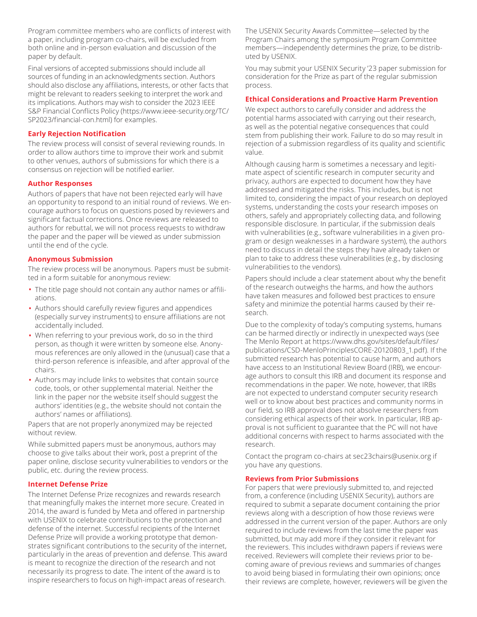Program committee members who are conflicts of interest with a paper, including program co-chairs, will be excluded from both online and in-person evaluation and discussion of the paper by default.

Final versions of accepted submissions should include all sources of funding in an acknowledgments section. Authors should also disclose any affiliations, interests, or other facts that might be relevant to readers seeking to interpret the work and its implications. Authors may wish to consider the 2023 IEEE S&P Financial Conflicts Policy (https://www.ieee-security.org/TC/ SP2023/financial-con.html) for examples.

#### **Early Rejection Notification**

The review process will consist of several reviewing rounds. In order to allow authors time to improve their work and submit to other venues, authors of submissions for which there is a consensus on rejection will be notified earlier.

#### **Author Responses**

Authors of papers that have not been rejected early will have an opportunity to respond to an initial round of reviews. We encourage authors to focus on questions posed by reviewers and significant factual corrections. Once reviews are released to authors for rebuttal, we will not process requests to withdraw the paper and the paper will be viewed as under submission until the end of the cycle.

#### **Anonymous Submission**

The review process will be anonymous. Papers must be submitted in a form suitable for anonymous review:

- The title page should not contain any author names or affiliations.
- Authors should carefully review figures and appendices (especially survey instruments) to ensure affiliations are not accidentally included.
- When referring to your previous work, do so in the third person, as though it were written by someone else. Anonymous references are only allowed in the (unusual) case that a third-person reference is infeasible, and after approval of the chairs.
- Authors may include links to websites that contain source code, tools, or other supplemental material. Neither the link in the paper nor the website itself should suggest the authors' identities (e.g., the website should not contain the authors' names or affiliations).

Papers that are not properly anonymized may be rejected without review.

While submitted papers must be anonymous, authors may choose to give talks about their work, post a preprint of the paper online, disclose security vulnerabilities to vendors or the public, etc. during the review process.

#### **Internet Defense Prize**

The Internet Defense Prize recognizes and rewards research that meaningfully makes the internet more secure. Created in 2014, the award is funded by Meta and offered in partnership with USENIX to celebrate contributions to the protection and defense of the internet. Successful recipients of the Internet Defense Prize will provide a working prototype that demonstrates significant contributions to the security of the internet, particularly in the areas of prevention and defense. This award is meant to recognize the direction of the research and not necessarily its progress to date. The intent of the award is to inspire researchers to focus on high-impact areas of research.

The USENIX Security Awards Committee—selected by the Program Chairs among the symposium Program Committee members—independently determines the prize, to be distributed by USENIX.

You may submit your USENIX Security '23 paper submission for consideration for the Prize as part of the regular submission process.

#### **Ethical Considerations and Proactive Harm Prevention**

We expect authors to carefully consider and address the potential harms associated with carrying out their research, as well as the potential negative consequences that could stem from publishing their work. Failure to do so may result in rejection of a submission regardless of its quality and scientific value.

Although causing harm is sometimes a necessary and legitimate aspect of scientific research in computer security and privacy, authors are expected to document how they have addressed and mitigated the risks. This includes, but is not limited to, considering the impact of your research on deployed systems, understanding the costs your research imposes on others, safely and appropriately collecting data, and following responsible disclosure. In particular, if the submission deals with vulnerabilities (e.g., software vulnerabilities in a given program or design weaknesses in a hardware system), the authors need to discuss in detail the steps they have already taken or plan to take to address these vulnerabilities (e.g., by disclosing vulnerabilities to the vendors).

Papers should include a clear statement about why the benefit of the research outweighs the harms, and how the authors have taken measures and followed best practices to ensure safety and minimize the potential harms caused by their research.

Due to the complexity of today's computing systems, humans can be harmed directly or indirectly in unexpected ways (see The Menlo Report at https://www.dhs.gov/sites/default/files/ publications/CSD-MenloPrinciplesCORE-20120803\_1.pdf). If the submitted research has potential to cause harm, and authors have access to an Institutional Review Board (IRB), we encourage authors to consult this IRB and document its response and recommendations in the paper. We note, however, that IRBs are not expected to understand computer security research well or to know about best practices and community norms in our field, so IRB approval does not absolve researchers from considering ethical aspects of their work. In particular, IRB approval is not sufficient to guarantee that the PC will not have additional concerns with respect to harms associated with the research.

Contact the program co-chairs at sec23chairs@usenix.org if you have any questions.

#### **Reviews from Prior Submissions**

For papers that were previously submitted to, and rejected from, a conference (including USENIX Security), authors are required to submit a separate document containing the prior reviews along with a description of how those reviews were addressed in the current version of the paper. Authors are only required to include reviews from the last time the paper was submitted, but may add more if they consider it relevant for the reviewers. This includes withdrawn papers if reviews were received. Reviewers will complete their reviews prior to becoming aware of previous reviews and summaries of changes to avoid being biased in formulating their own opinions; once their reviews are complete, however, reviewers will be given the